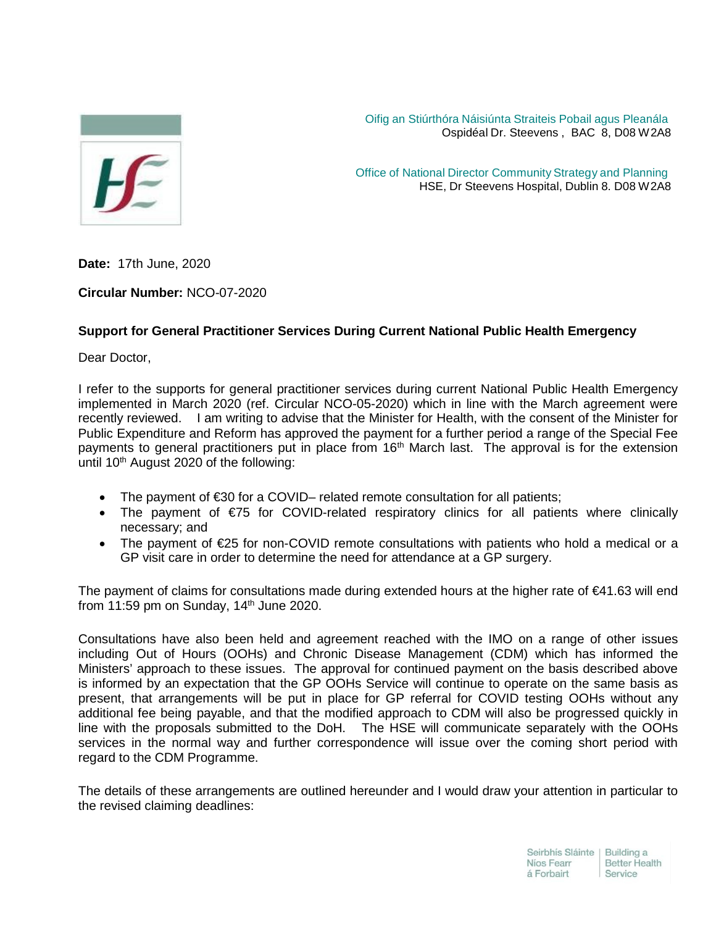

Oifig an Stiúrthóra Náisiúnta Straiteis Pobail agus Pleanála Ospidéal Dr. Steevens , BAC 8, D08 W2A8

Office of National Director Community Strategy and Planning HSE, Dr Steevens Hospital, Dublin 8. D08 W2A8

**Date:** 17th June, 2020

**Circular Number:** NCO-07-2020

## **Support for General Practitioner Services During Current National Public Health Emergency**

Dear Doctor,

I refer to the supports for general practitioner services during current National Public Health Emergency implemented in March 2020 (ref. Circular NCO-05-2020) which in line with the March agreement were recently reviewed. I am writing to advise that the Minister for Health, with the consent of the Minister for Public Expenditure and Reform has approved the payment for a further period a range of the Special Fee payments to general practitioners put in place from  $16<sup>th</sup>$  March last. The approval is for the extension until  $10<sup>th</sup>$  August 2020 of the following:

- The payment of €30 for a COVID– related remote consultation for all patients;
- The payment of €75 for COVID-related respiratory clinics for all patients where clinically necessary; and
- The payment of €25 for non-COVID remote consultations with patients who hold a medical or a GP visit care in order to determine the need for attendance at a GP surgery.

The payment of claims for consultations made during extended hours at the higher rate of €41.63 will end from 11:59 pm on Sunday,  $14<sup>th</sup>$  June 2020.

Consultations have also been held and agreement reached with the IMO on a range of other issues including Out of Hours (OOHs) and Chronic Disease Management (CDM) which has informed the Ministers' approach to these issues. The approval for continued payment on the basis described above is informed by an expectation that the GP OOHs Service will continue to operate on the same basis as present, that arrangements will be put in place for GP referral for COVID testing OOHs without any additional fee being payable, and that the modified approach to CDM will also be progressed quickly in line with the proposals submitted to the DoH. The HSE will communicate separately with the OOHs services in the normal way and further correspondence will issue over the coming short period with regard to the CDM Programme.

The details of these arrangements are outlined hereunder and I would draw your attention in particular to the revised claiming deadlines: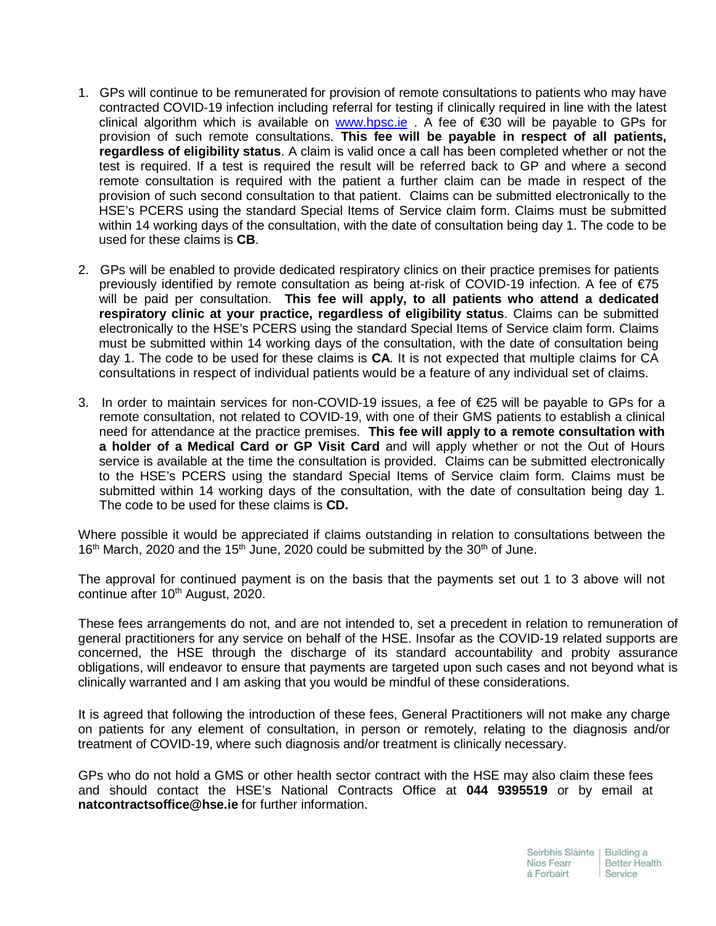- 1. GPs will continue to be remunerated for provision of remote consultations to patients who may have contracted COVID-19 infection including referral for testing if clinically required in line with the latest clinical algorithm which is available on [www.hpsc.ie](http://www.hpsc.ie/) . A fee of €30 will be payable to GPs for provision of such remote consultations. **This fee will be payable in respect of all patients, regardless of eligibility status**. A claim is valid once a call has been completed whether or not the test is required. If a test is required the result will be referred back to GP and where a second remote consultation is required with the patient a further claim can be made in respect of the provision of such second consultation to that patient. Claims can be submitted electronically to the HSE's PCERS using the standard Special Items of Service claim form. Claims must be submitted within 14 working days of the consultation, with the date of consultation being day 1. The code to be used for these claims is **CB**.
- 2. GPs will be enabled to provide dedicated respiratory clinics on their practice premises for patients previously identified by remote consultation as being at-risk of COVID-19 infection. A fee of €75 will be paid per consultation. **This fee will apply, to all patients who attend a dedicated respiratory clinic at your practice, regardless of eligibility status**. Claims can be submitted electronically to the HSE's PCERS using the standard Special Items of Service claim form. Claims must be submitted within 14 working days of the consultation, with the date of consultation being day 1. The code to be used for these claims is **CA**. It is not expected that multiple claims for CA consultations in respect of individual patients would be a feature of any individual set of claims.
- 3. In order to maintain services for non-COVID-19 issues, a fee of €25 will be payable to GPs for a remote consultation, not related to COVID-19, with one of their GMS patients to establish a clinical need for attendance at the practice premises. **This fee will apply to a remote consultation with a holder of a Medical Card or GP Visit Card** and will apply whether or not the Out of Hours service is available at the time the consultation is provided. Claims can be submitted electronically to the HSE's PCERS using the standard Special Items of Service claim form. Claims must be submitted within 14 working days of the consultation, with the date of consultation being day 1. The code to be used for these claims is **CD.**

Where possible it would be appreciated if claims outstanding in relation to consultations between the  $16<sup>th</sup>$  March, 2020 and the  $15<sup>th</sup>$  June, 2020 could be submitted by the 30<sup>th</sup> of June.

The approval for continued payment is on the basis that the payments set out 1 to 3 above will not continue after 10<sup>th</sup> August, 2020.

These fees arrangements do not, and are not intended to, set a precedent in relation to remuneration of general practitioners for any service on behalf of the HSE. Insofar as the COVID-19 related supports are concerned, the HSE through the discharge of its standard accountability and probity assurance obligations, will endeavor to ensure that payments are targeted upon such cases and not beyond what is clinically warranted and I am asking that you would be mindful of these considerations.

It is agreed that following the introduction of these fees, General Practitioners will not make any charge on patients for any element of consultation, in person or remotely, relating to the diagnosis and/or treatment of COVID-19, where such diagnosis and/or treatment is clinically necessary.

GPs who do not hold a GMS or other health sector contract with the HSE may also claim these fees and should contact the HSE's National Contracts Office at **044 9395519** or by email at **[natcontractsoffice@hse.ie](mailto:natcontractsoffice@hse.ie)** for further information.